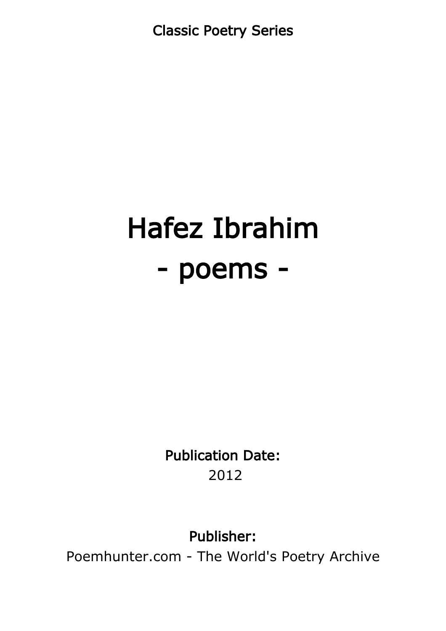Classic Poetry Series

## Hafez Ibrahim - poems -

Publication Date: 2012

Publisher:

Poemhunter.com - The World's Poetry Archive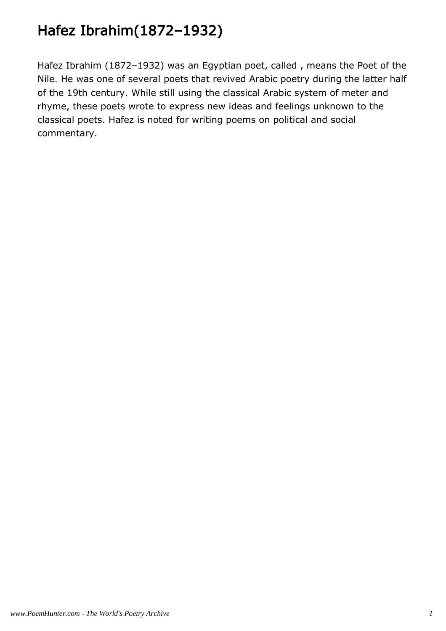## Hafez Ibrahim(1872–1932)

Hafez Ibrahim (1872–1932) was an Egyptian poet, called , means the Poet of the Nile. He was one of several poets that revived Arabic poetry during the latter half of the 19th century. While still using the classical Arabic system of meter and rhyme, these poets wrote to express new ideas and feelings unknown to the classical poets. Hafez is noted for writing poems on political and social commentary.